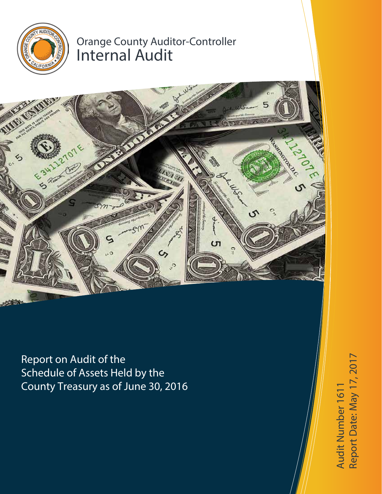

# Orange County Auditor-Controller Internal Audit



Report on Audit of the Schedule of Assets Held by the County Treasury as of June 30, 2016

te: May 17, 2017Audit Number 1611 Audit Number 1611 Report D a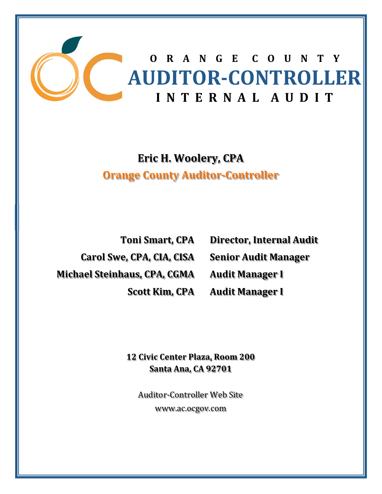

**Eric H. Woolery, CPA Orange County Auditor‐Controller**

**Toni Smart, CPA Carol Swe, CPA, CIA, CISA Michael Steinhaus, CPA, CGMA Scott Kim, CPA**

**Director, Internal Audit Senior Audit Manager Audit Manager I Audit Manager I**

**12 Civic Center Plaza, Room 200 Santa Ana, CA 92701**

Auditor-Controller Web Site www.ac.ocgov.com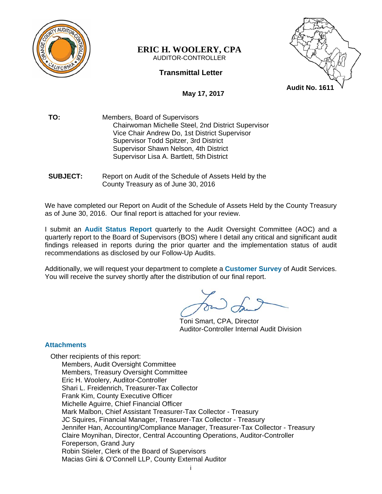

#### **ERIC H. WOOLERY, CPA**  AUDITOR-CONTROLLER

## **Transmittal Letter**



#### **May 17, 2017**

- **TO:** Members, Board of Supervisors Chairwoman Michelle Steel, 2nd District Supervisor Vice Chair Andrew Do, 1st District Supervisor Supervisor Todd Spitzer, 3rd District Supervisor Shawn Nelson, 4th District Supervisor Lisa A. Bartlett, 5th District
- **SUBJECT:** Report on Audit of the Schedule of Assets Held by the County Treasury as of June 30, 2016

We have completed our Report on Audit of the Schedule of Assets Held by the County Treasury as of June 30, 2016. Our final report is attached for your review.

I submit an **Audit Status Report** quarterly to the Audit Oversight Committee (AOC) and a quarterly report to the Board of Supervisors (BOS) where I detail any critical and significant audit findings released in reports during the prior quarter and the implementation status of audit recommendations as disclosed by our Follow-Up Audits.

Additionally, we will request your department to complete a **Customer Survey** of Audit Services. You will receive the survey shortly after the distribution of our final report.

Toni Smart, CPA, Director Auditor-Controller Internal Audit Division

## **Attachments**

Other recipients of this report: Members, Audit Oversight Committee Members, Treasury Oversight Committee Eric H. Woolery, Auditor-Controller Shari L. Freidenrich, Treasurer-Tax Collector Frank Kim, County Executive Officer Michelle Aguirre, Chief Financial Officer Mark Malbon, Chief Assistant Treasurer-Tax Collector - Treasury JC Squires, Financial Manager, Treasurer-Tax Collector - Treasury Jennifer Han, Accounting/Compliance Manager, Treasurer-Tax Collector - Treasury Claire Moynihan, Director, Central Accounting Operations, Auditor-Controller Foreperson, Grand Jury Robin Stieler, Clerk of the Board of Supervisors Macias Gini & O'Connell LLP, County External Auditor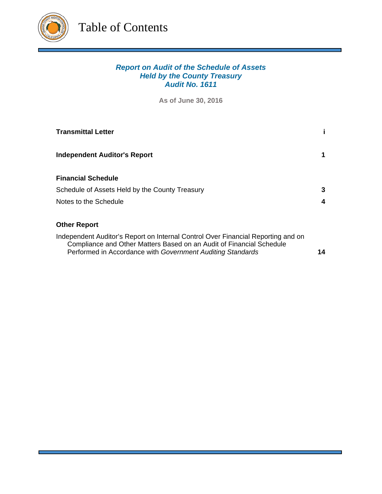

## *Report on Audit of the Schedule of Assets Held by the County Treasury Audit No. 1611*

**As of June 30, 2016**

| <b>Transmittal Letter</b>                                                                                                                                                                                              |    |
|------------------------------------------------------------------------------------------------------------------------------------------------------------------------------------------------------------------------|----|
| <b>Independent Auditor's Report</b>                                                                                                                                                                                    |    |
| <b>Financial Schedule</b>                                                                                                                                                                                              |    |
| Schedule of Assets Held by the County Treasury                                                                                                                                                                         | 3  |
| Notes to the Schedule                                                                                                                                                                                                  | 4  |
| <b>Other Report</b>                                                                                                                                                                                                    |    |
| Independent Auditor's Report on Internal Control Over Financial Reporting and on<br>Compliance and Other Matters Based on an Audit of Financial Schedule<br>Performed in Accordance with Government Auditing Standards | 14 |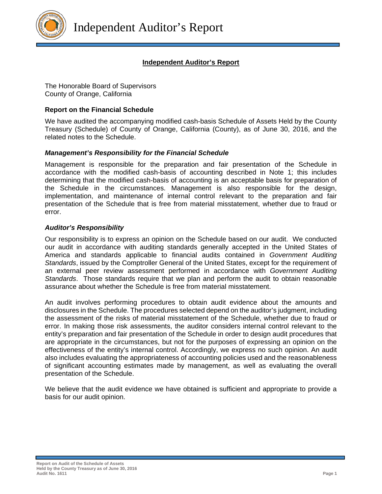

## **Independent Auditor's Report**

The Honorable Board of Supervisors County of Orange, California

## **Report on the Financial Schedule**

We have audited the accompanying modified cash-basis Schedule of Assets Held by the County Treasury (Schedule) of County of Orange, California (County), as of June 30, 2016, and the related notes to the Schedule.

## *Management's Responsibility for the Financial Schedule*

Management is responsible for the preparation and fair presentation of the Schedule in accordance with the modified cash-basis of accounting described in Note 1; this includes determining that the modified cash-basis of accounting is an acceptable basis for preparation of the Schedule in the circumstances. Management is also responsible for the design, implementation, and maintenance of internal control relevant to the preparation and fair presentation of the Schedule that is free from material misstatement, whether due to fraud or error.

## *Auditor's Responsibility*

Our responsibility is to express an opinion on the Schedule based on our audit. We conducted our audit in accordance with auditing standards generally accepted in the United States of America and standards applicable to financial audits contained in *Government Auditing Standards*, issued by the Comptroller General of the United States, except for the requirement of an external peer review assessment performed in accordance with *Government Auditing Standards*. Those standards require that we plan and perform the audit to obtain reasonable assurance about whether the Schedule is free from material misstatement.

An audit involves performing procedures to obtain audit evidence about the amounts and disclosures in the Schedule. The procedures selected depend on the auditor's judgment, including the assessment of the risks of material misstatement of the Schedule, whether due to fraud or error. In making those risk assessments, the auditor considers internal control relevant to the entity's preparation and fair presentation of the Schedule in order to design audit procedures that are appropriate in the circumstances, but not for the purposes of expressing an opinion on the effectiveness of the entity's internal control. Accordingly, we express no such opinion. An audit also includes evaluating the appropriateness of accounting policies used and the reasonableness of significant accounting estimates made by management, as well as evaluating the overall presentation of the Schedule.

We believe that the audit evidence we have obtained is sufficient and appropriate to provide a basis for our audit opinion.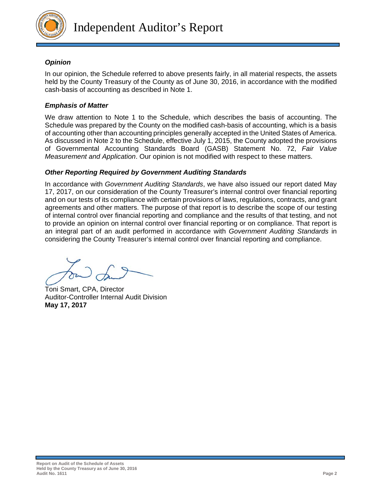

## *Opinion*

In our opinion, the Schedule referred to above presents fairly, in all material respects, the assets held by the County Treasury of the County as of June 30, 2016, in accordance with the modified cash-basis of accounting as described in Note 1.

## *Emphasis of Matter*

We draw attention to Note 1 to the Schedule, which describes the basis of accounting. The Schedule was prepared by the County on the modified cash-basis of accounting, which is a basis of accounting other than accounting principles generally accepted in the United States of America. As discussed in Note 2 to the Schedule, effective July 1, 2015, the County adopted the provisions of Governmental Accounting Standards Board (GASB) Statement No. 72, *Fair Value Measurement and Application*. Our opinion is not modified with respect to these matters.

## *Other Reporting Required by Government Auditing Standards*

In accordance with *Government Auditing Standards*, we have also issued our report dated May 17, 2017, on our consideration of the County Treasurer's internal control over financial reporting and on our tests of its compliance with certain provisions of laws, regulations, contracts, and grant agreements and other matters. The purpose of that report is to describe the scope of our testing of internal control over financial reporting and compliance and the results of that testing, and not to provide an opinion on internal control over financial reporting or on compliance. That report is an integral part of an audit performed in accordance with *Government Auditing Standards* in considering the County Treasurer's internal control over financial reporting and compliance.

Toni Smart, CPA, Director Auditor-Controller Internal Audit Division **May 17, 2017**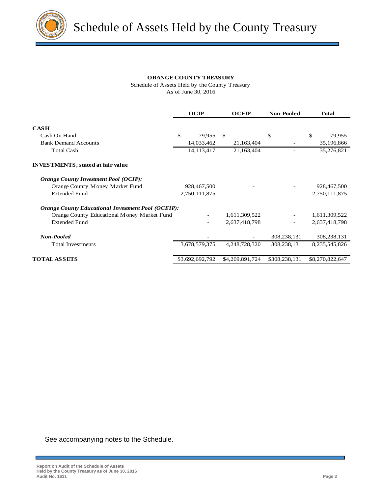

#### **ORANGE COUNTY TREASURY**

Schedule of Assets Held by the County Treasury As of June 30, 2016

|                                                           | OCP |                 |               | <b>OCEIP</b>     | <b>Non-Pooled</b> |               | <b>Total</b>    |
|-----------------------------------------------------------|-----|-----------------|---------------|------------------|-------------------|---------------|-----------------|
|                                                           |     |                 |               |                  |                   |               |                 |
| CASH                                                      |     |                 |               |                  |                   |               |                 |
| Cash On Hand                                              | \$  | 79,955          | $\mathcal{S}$ |                  | \$                | $\mathcal{S}$ | 79,955          |
| <b>Bank Demand Accounts</b>                               |     | 14,033,462      |               | 21,163,404       |                   |               | 35,196,866      |
| <b>Total Cash</b>                                         |     | 14,113,417      |               | 21,163,404       |                   |               | 35,276,821      |
| <b>INVESTMENTS</b> , stated at fair value                 |     |                 |               |                  |                   |               |                 |
| Orange County Investment Pool (OCIP):                     |     |                 |               |                  |                   |               |                 |
| Orange County Money Market Fund                           |     | 928,467,500     |               |                  |                   |               | 928,467,500     |
| <b>Extended Fund</b>                                      |     | 2,750,111,875   |               |                  |                   |               | 2,750,111,875   |
| <b>Orange County Educational Investment Pool (OCEIP):</b> |     |                 |               |                  |                   |               |                 |
| Orange County Educational Money Market Fund               |     |                 |               | 1,611,309,522    |                   |               | 1,611,309,522   |
| <b>Extended Fund</b>                                      |     |                 |               | 2,637,418,798    |                   |               | 2,637,418,798   |
| Non-Pooled                                                |     |                 |               |                  | 308,238,131       |               | 308,238,131     |
| <b>Total Investments</b>                                  |     | 3,678,579,375   |               | 4, 248, 728, 320 | 308,238,131       |               | 8,235,545,826   |
| <b>TOTAL ASSETS</b>                                       |     | \$3,692,692,792 |               | \$4,269,891,724  | \$308,238,131     |               | \$8,270,822,647 |

See accompanying notes to the Schedule.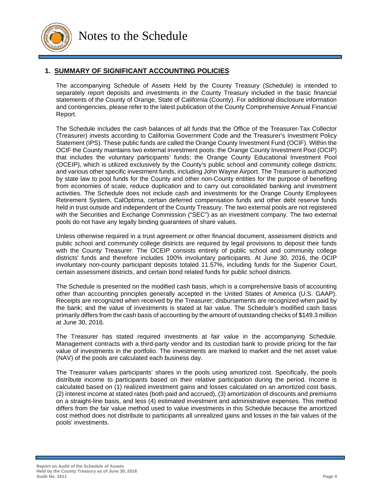

## **1. SUMMARY OF SIGNIFICANT ACCOUNTING POLICIES**

The accompanying Schedule of Assets Held by the County Treasury (Schedule) is intended to separately report deposits and investments in the County Treasury included in the basic financial statements of the County of Orange, State of California (County). For additional disclosure information and contingencies, please refer to the latest publication of the County Comprehensive Annual Financial Report.

The Schedule includes the cash balances of all funds that the Office of the Treasurer-Tax Collector (Treasurer) invests according to California Government Code and the Treasurer's Investment Policy Statement (IPS). These public funds are called the Orange County Investment Fund (OCIF). Within the OCIF the County maintains two external investment pools: the Orange County Investment Pool (OCIP) that includes the voluntary participants' funds; the Orange County Educational Investment Pool (OCEIP), which is utilized exclusively by the County's public school and community college districts; and various other specific investment funds, including John Wayne Airport. The Treasurer is authorized by state law to pool funds for the County and other non-County entities for the purpose of benefiting from economies of scale, reduce duplication and to carry out consolidated banking and investment activities. The Schedule does not include cash and investments for the Orange County Employees Retirement System, CalOptima, certain deferred compensation funds and other debt reserve funds held in trust outside and independent of the County Treasury. The two external pools are not registered with the Securities and Exchange Commission ("SEC") as an investment company. The two external pools do not have any legally binding guarantees of share values.

Unless otherwise required in a trust agreement or other financial document, assessment districts and public school and community college districts are required by legal provisions to deposit their funds with the County Treasurer. The OCEIP consists entirely of public school and community college districts' funds and therefore includes 100% involuntary participants. At June 30, 2016, the OCIP involuntary non-county participant deposits totaled 11.57%, including funds for the Superior Court, certain assessment districts, and certain bond related funds for public school districts.

The Schedule is presented on the modified cash basis, which is a comprehensive basis of accounting other than accounting principles generally accepted in the United States of America (U.S. GAAP). Receipts are recognized when received by the Treasurer; disbursements are recognized when paid by the bank; and the value of investments is stated at fair value. The Schedule's modified cash basis primarily differs from the cash basis of accounting by the amount of outstanding checks of \$149.3 million at June 30, 2016.

The Treasurer has stated required investments at fair value in the accompanying Schedule. Management contracts with a third-party vendor and its custodian bank to provide pricing for the fair value of investments in the portfolio. The investments are marked to market and the net asset value (NAV) of the pools are calculated each business day.

The Treasurer values participants' shares in the pools using amortized cost. Specifically, the pools distribute income to participants based on their relative participation during the period. Income is calculated based on (1) realized investment gains and losses calculated on an amortized cost basis, (2) interest income at stated rates (both paid and accrued), (3) amortization of discounts and premiums on a straight-line basis, and less (4) estimated investment and administrative expenses. This method differs from the fair value method used to value investments in this Schedule because the amortized cost method does not distribute to participants all unrealized gains and losses in the fair values of the pools' investments.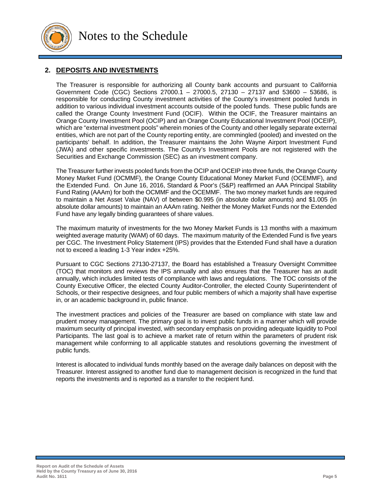

Notes to the Schedule

## **2. DEPOSITS AND INVESTMENTS**

The Treasurer is responsible for authorizing all County bank accounts and pursuant to California Government Code (CGC) Sections 27000.1 – 27000.5, 27130 – 27137 and 53600 – 53686, is responsible for conducting County investment activities of the County's investment pooled funds in addition to various individual investment accounts outside of the pooled funds. These public funds are called the Orange County Investment Fund (OCIF). Within the OCIF, the Treasurer maintains an Orange County Investment Pool (OCIP) and an Orange County Educational Investment Pool (OCEIP), which are "external investment pools" wherein monies of the County and other legally separate external entities, which are not part of the County reporting entity, are commingled (pooled) and invested on the participants' behalf. In addition, the Treasurer maintains the John Wayne Airport Investment Fund (JWA) and other specific investments. The County's Investment Pools are not registered with the Securities and Exchange Commission (SEC) as an investment company.

The Treasurer further invests pooled funds from the OCIP and OCEIP into three funds, the Orange County Money Market Fund (OCMMF), the Orange County Educational Money Market Fund (OCEMMF), and the Extended Fund. On June 16, 2016, Standard & Poor's (S&P) reaffirmed an AAA Principal Stability Fund Rating (AAAm) for both the OCMMF and the OCEMMF. The two money market funds are required to maintain a Net Asset Value (NAV) of between \$0.995 (in absolute dollar amounts) and \$1.005 (in absolute dollar amounts) to maintain an AAAm rating. Neither the Money Market Funds nor the Extended Fund have any legally binding guarantees of share values.

The maximum maturity of investments for the two Money Market Funds is 13 months with a maximum weighted average maturity (WAM) of 60 days. The maximum maturity of the Extended Fund is five years per CGC. The Investment Policy Statement (IPS) provides that the Extended Fund shall have a duration not to exceed a leading 1-3 Year index +25%.

Pursuant to CGC Sections 27130-27137, the Board has established a Treasury Oversight Committee (TOC) that monitors and reviews the IPS annually and also ensures that the Treasurer has an audit annually, which includes limited tests of compliance with laws and regulations. The TOC consists of the County Executive Officer, the elected County Auditor-Controller, the elected County Superintendent of Schools, or their respective designees, and four public members of which a majority shall have expertise in, or an academic background in, public finance.

The investment practices and policies of the Treasurer are based on compliance with state law and prudent money management. The primary goal is to invest public funds in a manner which will provide maximum security of principal invested, with secondary emphasis on providing adequate liquidity to Pool Participants. The last goal is to achieve a market rate of return within the parameters of prudent risk management while conforming to all applicable statutes and resolutions governing the investment of public funds.

Interest is allocated to individual funds monthly based on the average daily balances on deposit with the Treasurer. Interest assigned to another fund due to management decision is recognized in the fund that reports the investments and is reported as a transfer to the recipient fund.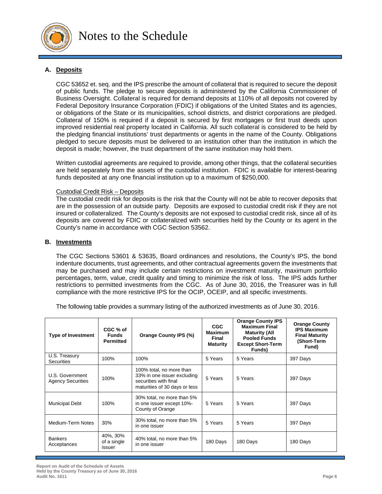

## **A. Deposits**

CGC 53652 et. seq. and the IPS prescribe the amount of collateral that is required to secure the deposit of public funds. The pledge to secure deposits is administered by the California Commissioner of Business Oversight. Collateral is required for demand deposits at 110% of all deposits not covered by Federal Depository Insurance Corporation (FDIC) if obligations of the United States and its agencies, or obligations of the State or its municipalities, school districts, and district corporations are pledged. Collateral of 150% is required if a deposit is secured by first mortgages or first trust deeds upon improved residential real property located in California. All such collateral is considered to be held by the pledging financial institutions' trust departments or agents in the name of the County. Obligations pledged to secure deposits must be delivered to an institution other than the institution in which the deposit is made; however, the trust department of the same institution may hold them.

Written custodial agreements are required to provide, among other things, that the collateral securities are held separately from the assets of the custodial institution. FDIC is available for interest-bearing funds deposited at any one financial institution up to a maximum of \$250,000.

#### Custodial Credit Risk – Deposits

The custodial credit risk for deposits is the risk that the County will not be able to recover deposits that are in the possession of an outside party. Deposits are exposed to custodial credit risk if they are not insured or collateralized. The County's deposits are not exposed to custodial credit risk, since all of its deposits are covered by FDIC or collateralized with securities held by the County or its agent in the County's name in accordance with CGC Section 53562.

#### **B. Investments**

The CGC Sections 53601 & 53635, Board ordinances and resolutions, the County's IPS, the bond indenture documents, trust agreements, and other contractual agreements govern the investments that may be purchased and may include certain restrictions on investment maturity, maximum portfolio percentages, term, value, credit quality and timing to minimize the risk of loss. The IPS adds further restrictions to permitted investments from the CGC. As of June 30, 2016, the Treasurer was in full compliance with the more restrictive IPS for the OCIP, OCEIP, and all specific investments.

The following table provides a summary listing of the authorized investments as of June 30, 2016.

| <b>Type of Investment</b>                   | CGC % of<br><b>Funds</b><br><b>Permitted</b> | <b>Orange County IPS (%)</b>                                                                                      | <b>CGC</b><br><b>Maximum</b><br>Final<br><b>Maturity</b> | <b>Orange County IPS</b><br><b>Maximum Final</b><br><b>Maturity (All</b><br><b>Pooled Funds</b><br><b>Except Short-Term</b><br>Funds) | <b>Orange County</b><br><b>IPS Maximum</b><br><b>Final Maturity</b><br>(Short-Term<br>Fund) |
|---------------------------------------------|----------------------------------------------|-------------------------------------------------------------------------------------------------------------------|----------------------------------------------------------|---------------------------------------------------------------------------------------------------------------------------------------|---------------------------------------------------------------------------------------------|
| U.S. Treasury<br><b>Securities</b>          | 100%                                         | 100%                                                                                                              | 5 Years                                                  | 5 Years                                                                                                                               | 397 Days                                                                                    |
| U.S. Government<br><b>Agency Securities</b> | 100%                                         | 100% total, no more than<br>33% in one issuer excluding<br>securities with final<br>maturities of 30 days or less | 5 Years                                                  | 5 Years                                                                                                                               | 397 Days                                                                                    |
| <b>Municipal Debt</b>                       | 100%                                         | 30% total, no more than 5%<br>in one issuer except 10%-<br>County of Orange                                       | 5 Years                                                  | 5 Years                                                                                                                               | 397 Days                                                                                    |
| Medium-Term Notes                           | 30%                                          | 30% total, no more than 5%<br>in one issuer                                                                       | 5 Years                                                  | 5 Years                                                                                                                               | 397 Days                                                                                    |
| <b>Bankers</b><br>Acceptances               | 40%, 30%<br>of a single<br>issuer            | 40% total, no more than 5%<br>in one issuer                                                                       | 180 Days                                                 | 180 Days                                                                                                                              | 180 Days                                                                                    |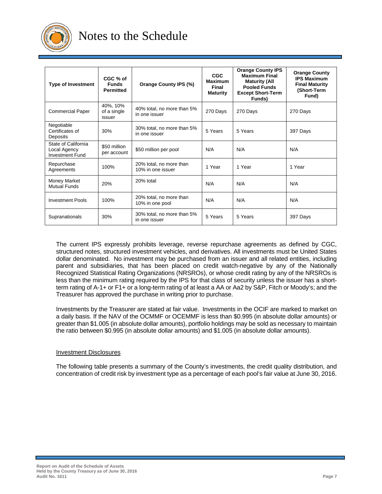

| <b>Type of Investment</b>                                     | CGC % of<br><b>Funds</b><br><b>Permitted</b> | Orange County IPS (%)                        | <b>CGC</b><br><b>Maximum</b><br>Final<br><b>Maturity</b> | <b>Orange County IPS</b><br><b>Maximum Final</b><br><b>Maturity (All</b><br><b>Pooled Funds</b><br><b>Except Short-Term</b><br>Funds) | <b>Orange County</b><br><b>IPS Maximum</b><br><b>Final Maturity</b><br>(Short-Term<br>Fund) |
|---------------------------------------------------------------|----------------------------------------------|----------------------------------------------|----------------------------------------------------------|---------------------------------------------------------------------------------------------------------------------------------------|---------------------------------------------------------------------------------------------|
| <b>Commercial Paper</b>                                       | 40%, 10%<br>of a single<br>issuer            | 40% total, no more than 5%<br>in one issuer  | 270 Days                                                 | 270 Days                                                                                                                              | 270 Days                                                                                    |
| Negotiable<br>Certificates of<br>Deposits                     | 30%                                          | 30% total, no more than 5%<br>in one issuer  | 5 Years                                                  | 5 Years                                                                                                                               | 397 Days                                                                                    |
| State of California<br>Local Agency<br><b>Investment Fund</b> | \$50 million<br>per account                  | \$50 million per pool                        | N/A                                                      | N/A                                                                                                                                   | N/A                                                                                         |
| Repurchase<br>Agreements                                      | 100%                                         | 20% total, no more than<br>10% in one issuer | 1 Year                                                   | 1 Year                                                                                                                                | 1 Year                                                                                      |
| <b>Money Market</b><br><b>Mutual Funds</b>                    | 20%                                          | 20% total                                    | N/A                                                      | N/A                                                                                                                                   | N/A                                                                                         |
| <b>Investment Pools</b>                                       | 100%                                         | 20% total, no more than<br>10% in one pool   | N/A                                                      | N/A                                                                                                                                   | N/A                                                                                         |
| Supranationals                                                | 30%                                          | 30% total, no more than 5%<br>in one issuer  | 5 Years                                                  | 5 Years                                                                                                                               | 397 Days                                                                                    |

The current IPS expressly prohibits leverage, reverse repurchase agreements as defined by CGC, structured notes, structured investment vehicles, and derivatives. All investments must be United States dollar denominated. No investment may be purchased from an issuer and all related entities, including parent and subsidiaries, that has been placed on credit watch-negative by any of the Nationally Recognized Statistical Rating Organizations (NRSROs), or whose credit rating by any of the NRSROs is less than the minimum rating required by the IPS for that class of security unless the issuer has a shortterm rating of A-1+ or F1+ or a long-term rating of at least a AA or Aa2 by S&P, Fitch or Moody's; and the Treasurer has approved the purchase in writing prior to purchase.

Investments by the Treasurer are stated at fair value. Investments in the OCIF are marked to market on a daily basis. If the NAV of the OCMMF or OCEMMF is less than \$0.995 (in absolute dollar amounts) or greater than \$1.005 (in absolute dollar amounts), portfolio holdings may be sold as necessary to maintain the ratio between \$0.995 (in absolute dollar amounts) and \$1.005 (in absolute dollar amounts).

#### Investment Disclosures

The following table presents a summary of the County's investments, the credit quality distribution, and concentration of credit risk by investment type as a percentage of each pool's fair value at June 30, 2016.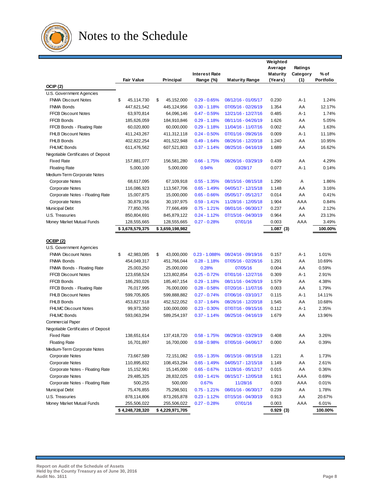

## Notes to the Schedule

|                                                 |                   |                  |                      |                       | Weighted |          |           |
|-------------------------------------------------|-------------------|------------------|----------------------|-----------------------|----------|----------|-----------|
|                                                 |                   |                  |                      |                       | Average  | Ratings  |           |
|                                                 |                   |                  | <b>Interest Rate</b> |                       | Maturity | Category | $%$ of    |
|                                                 | <b>Fair Value</b> | Principal        | Range (%)            | <b>Maturity Range</b> | (Years)  | (1)      | Portfolio |
| OCIP(2)                                         |                   |                  |                      |                       |          |          |           |
| <b>U.S. Government Agencies</b>                 |                   |                  |                      |                       |          |          |           |
| <b>FNMA Discount Notes</b>                      | \$<br>45,114,730  | \$<br>45,152,000 | $0.29 - 0.65%$       | 08/12/16 - 01/05/17   | 0.230    | A-1      | 1.24%     |
| <b>FNMA Bonds</b>                               | 447,621,542       | 445,124,956      | $0.30 - 1.18%$       | 07/05/16 - 02/26/19   | 1.354    | AA       | 12.17%    |
| <b>FFCB Discount Notes</b>                      | 63,970,814        | 64,096,146       | $0.47 - 0.59%$       | 12/21/16 - 12/27/16   | 0.485    | A-1      | 1.74%     |
| <b>FFCB Bonds</b>                               | 185,626,059       | 184,910,846      | $0.29 - 1.18%$       | 08/11/16 - 04/26/19   | 1.626    | AA       | 5.05%     |
| FFCB Bonds - Floating Rate                      | 60,020,800        | 60,000,000       | $0.29 - 1.18%$       | 11/04/16 - 11/07/16   | 0.002    | AA       | 1.63%     |
| <b>FHLB Discount Notes</b>                      | 411,243,267       | 411,312,118      | $0.24 - 0.50\%$      | 07/01/16 - 09/26/16   | 0.009    | A-1      | 11.18%    |
| <b>FHLB Bonds</b>                               | 402,822,254       | 401,522,948      | $0.49 - 1.64%$       | 08/26/16 - 12/20/18   | 1.240    | AA       | 10.95%    |
| <b>FHLMC Bonds</b>                              | 611,476,562       | 607,521,803      | $0.37 - 1.14%$       | 08/25/16 - 04/16/19   | 1.689    | AA       | 16.62%    |
| Negotiable Certificates of Deposit              |                   |                  |                      |                       |          |          |           |
| <b>Fixed Rate</b>                               | 157,881,077       | 156,581,280      | $0.66 - 1.75%$       | 08/26/16 - 03/29/19   | 0.439    | AA       | 4.29%     |
| <b>Floating Rate</b>                            | 5,000,100         | 5,000,000        | 0.94%                | 03/28/17              | 0.077    | A-1      | 0.14%     |
| Medium-Term Corporate Notes                     |                   |                  |                      |                       |          |          |           |
| <b>Corporate Notes</b>                          | 68,617,095        | 67,109,918       | $0.55 - 1.35%$       | 08/15/16 - 08/15/18   | 1.290    | Α        | 1.86%     |
| <b>Corporate Notes</b>                          | 116,086,923       | 113,567,706      | $0.65 - 1.49%$       | 04/05/17 - 12/15/18   | 1.148    | AA       | 3.16%     |
| Corporate Notes - Floating Rate                 | 15,007,875        | 15,000,000       | $0.65 - 0.66%$       | 05/05/17 - 05/12/17   | 0.014    | AA       | 0.41%     |
| <b>Corporate Notes</b>                          | 30,879,156        | 30,197,975       | $0.59 - 1.41%$       | 11/28/16 - 12/05/18   | 1.904    | AAA      | 0.84%     |
| <b>Municipal Debt</b>                           | 77,850,765        | 77,666,499       | $0.75 - 1.21%$       | 08/01/16 - 06/30/17   | 0.237    | AA       | 2.12%     |
| U.S. Treasuries                                 | 850,804,691       | 845,879,122      | $0.24 - 1.12%$       | 07/15/16 - 04/30/19   | 0.964    | AA       | 23.13%    |
| Money Market Mutual Funds                       | 128,555,665       | 128,555,665      | $0.27 - 0.28%$       | 07/01/16              | 0.003    | AAA      | 3.49%     |
|                                                 | \$3,678,579,375   | \$3,659,198,982  |                      |                       | 1.087(3) |          | 100.00%   |
|                                                 |                   |                  |                      |                       |          |          |           |
| OCEP(2)<br>U.S. Government Agencies             |                   |                  |                      |                       |          |          |           |
| <b>FNMA Discount Notes</b>                      | \$<br>42,983,085  | \$<br>43,000,000 | $0.23 - 1.088%$      | 08/24/16 - 09/19/16   | 0.157    | A-1      | 1.01%     |
| <b>FNMA Bonds</b>                               |                   |                  | $0.28 - 1.18%$       | 07/05/16 - 02/26/16   | 1.291    | AA       | 10.69%    |
|                                                 | 454,049,317       | 451,766,044      |                      |                       |          |          |           |
| FNMA Bonds - Floating Rate                      | 25,003,250        | 25,000,000       | 0.28%                | 07/05/16              | 0.004    | AA       | 0.59%     |
| <b>FFCB Discount Notes</b><br><b>FFCB Bonds</b> | 123,658,524       | 123,802,854      | $0.25 - 0.72%$       | 07/01/16 - 12/27/16   | 0.309    | A-1      | 2.91%     |
|                                                 | 186,293,026       | 185,467,154      | $0.29 - 1.18%$       | 08/11/16 - 04/26/19   | 1.579    | AA       | 4.38%     |
| FFCB Bonds - Floating Rate                      | 76,017,995        | 76,000,000       | $0.28 - 0.58%$       | 07/20/16 - 11/07/16   | 0.003    | AA       | 1.79%     |
| <b>FHLB Discount Notes</b>                      | 599,705,805       | 599,888,882      | $0.27 - 0.74%$       | 07/06/16 - 03/10/17   | 0.115    | A-1      | 14.11%    |
| <b>FHLB Bonds</b>                               | 453,827,518       | 452,522,052      | $0.37 - 1.64%$       | 08/26/16 - 12/20/18   | 1.545    | AA       | 10.68%    |
| <b>FHLMC Discount Notes</b>                     | 99,973,350        | 100,000,000      | $0.23 - 0.30\%$      | 07/07/16 - 09/15/16   | 0.112    | A-1      | 2.35%     |
| <b>FHLMC Bonds</b>                              | 593,063,294       | 589,254,197      | $0.37 - 1.14%$       | 08/25/16 - 04/16/19   | 1.679    | AA       | 13.96%    |
| <b>Commercial Paper</b>                         |                   |                  |                      |                       |          |          |           |
| Negotiable Certificates of Deposit              |                   |                  |                      |                       |          |          |           |
| Fixed Rate                                      | 138,651,614       | 137,418,720      | $0.58 - 1.75%$       | 08/29/16 - 03/29/19   | 0.408    | AA       | 3.26%     |
| <b>Floating Rate</b>                            | 16,701,897        | 16,700,000       | $0.58 - 0.98%$       | 07/05/16 - 04/06/17   | 0.000    | ΑA       | 0.39%     |
| Medium-Term Corporate Notes                     |                   |                  |                      |                       |          |          |           |
| <b>Corporate Notes</b>                          | 73,667,589        | 72,151,082       | $0.55 - 1.35%$       | 08/15/16 - 08/15/18   | 1.221    | Α        | 1.73%     |
| <b>Corporate Notes</b>                          | 110,895,832       | 108,453,294      | $0.65 - 1.49%$       | 04/05/17 - 12/15/18   | 1.149    | ΑA       | 2.61%     |
| Corporate Notes - Floating Rate                 | 15,152,961        | 15,145,000       | $0.65 - 0.67%$       | 11/28/16 - 05/12/17   | 0.015    | ΑA       | 0.36%     |
| <b>Corporate Notes</b>                          | 29,485,325        | 28,832,025       | $0.93 - 1.41%$       | 08/15/17 - 12/05/18   | 1.911    | AAA      | 0.69%     |
| Corporate Notes - Floating Rate                 | 500,255           | 500,000          | 0.67%                | 11/28/16              | 0.003    | AAA      | 0.01%     |
| Municipal Debt                                  | 75,476,855        | 75,298,501       | $0.75 - 1.21%$       | 08/01/16 - 06/30/17   | 0.239    | AA       | 1.78%     |
| U.S. Treasuries                                 | 878,114,806       | 873,265,878      | $0.23 - 1.12%$       | 07/15/16 - 04/30/19   | 0.913    | ΑA       | 20.67%    |
| Money Market Mutual Funds                       | 255,506,022       | 255,506,022      | $0.27 - 0.28%$       | 07/01/16              | 0.003    | AAA      | 6.01%     |
|                                                 | \$4,248,728,320   | \$4,229,971,705  |                      |                       | 0.929(3) |          | 100.00%   |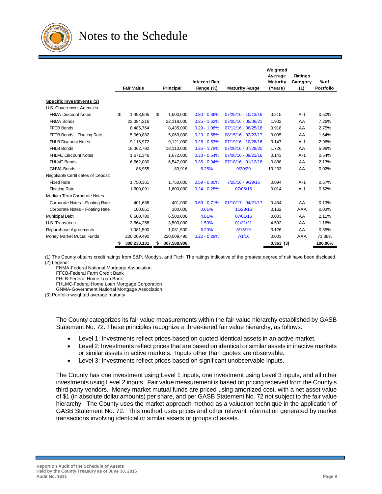

|                                    |    | <b>Fair Value</b> | <b>Principal</b>  | <b>Interest Rate</b><br>Range (%) | <b>Maturity Range</b> | Weighted<br>Average<br>Maturity<br>(Years) | Ratings<br>Category<br>(1) | $%$ of<br>Portfolio |
|------------------------------------|----|-------------------|-------------------|-----------------------------------|-----------------------|--------------------------------------------|----------------------------|---------------------|
| Specific Investments (2)           |    |                   |                   |                                   |                       |                                            |                            |                     |
| U.S. Government Agencies           |    |                   |                   |                                   |                       |                                            |                            |                     |
| <b>FNMA Discount Notes</b>         | \$ | 1,498,905         | \$<br>1,500,000   | $0.30 - 0.36\%$                   | 07/25/16 - 10/13/16   | 0.215                                      | $A-1$                      | 0.50%               |
| <b>FNMA Bonds</b>                  |    | 22,384,216        | 22,118,000        | $0.35 - 1.62%$                    | 07/05/16 - 05/06/21   | 1.902                                      | AA                         | 7.26%               |
| <b>FFCB Bonds</b>                  |    | 8,485,764         | 8,435,000         | $0.29 - 1.08%$                    | 07/12/16 - 06/25/18   | 0.918                                      | AA                         | 2.75%               |
| FFCB Bonds - Floating Rate         |    | 5,060,882         | 5,060,000         | $0.29 - 0.58%$                    | 08/15/16 - 02/23/17   | 0.005                                      | AA                         | 1.64%               |
| <b>FHLB Discount Notes</b>         |    | 9,116,972         | 9,121,000         | $0.28 - 0.53%$                    | 07/19/16 - 10/28/16   | 0.147                                      | $A-1$                      | 2.96%               |
| <b>FHLB Bonds</b>                  |    | 18,362,792        | 18,110,000        | $0.35 - 1.78%$                    | 07/20/16 - 07/29/20   | 1.726                                      | AA                         | 5.96%               |
| <b>FHLMC Discount Notes</b>        |    | 1,671,346         | 1,672,000         | $0.33 - 0.54%$                    | 07/06/16 - 09/21/16   | 0.143                                      | $A-1$                      | 0.54%               |
| <b>FHLMC Bonds</b>                 |    | 6,562,080         | 6,547,000         | $0.35 - 0.94\%$                   | 07/18/16 - 01/12/18   | 0.888                                      | AA                         | 2.13%               |
| <b>GNMA Bonds</b>                  |    | 86,955            | 83,916            | 6.25%                             | 9/20/29               | 13.233                                     | AA                         | 0.02%               |
| Negotiable Certificates of Deposit |    |                   |                   |                                   |                       |                                            |                            |                     |
| <b>Fixed Rate</b>                  |    | 1,750,361         | 1,750,000         | $0.59 - 0.80\%$                   | 7/25/16 - 9/29/16     | 0.094                                      | $A-1$                      | 0.57%               |
| <b>Floating Rate</b>               |    | 1.600.091         | 1.600.000         | $0.24 - 0.28%$                    | 07/05/16              | 0.014                                      | $A-1$                      | 0.52%               |
| Medium-Term Corporate Notes        |    |                   |                   |                                   |                       |                                            |                            |                     |
| Corporate Notes - Floating Rate    |    | 401,688           | 401,000           | $0.69 - 0.71%$                    | 01/10/17 - 04/21/17   | 0.454                                      | AA                         | 0.13%               |
| Corporate Notes - Floating Rate    |    | 100,051           | 100.000           | 0.61%                             | 11/28/16              | 0.162                                      | AAA                        | 0.03%               |
| <b>Municipal Debt</b>              |    | 6,500,780         | 6,500,000         | 4.81%                             | 07/01/16              | 0.003                                      | AA                         | 2.11%               |
| U.S. Treasuries                    |    | 3,564,258         | 3,500,000         | 1.50%                             | 01/31/21              | 4.592                                      | AA                         | 1.16%               |
| Repurchase Agreements              |    | 1,081,500         | 1,081,500         | 6.20%                             | 8/15/19               | 3.126                                      | AA                         | 0.35%               |
| Money Market Mutual Funds          |    | 220,009,490       | 220,009,490       | $0.22 - 0.28%$                    | 7/1/16                | 0.003                                      | AAA                        | 71.38%              |
|                                    | S  | 308,238,131       | \$<br>307,588,906 |                                   |                       | 0.363(3)                                   |                            | 100.00%             |

(1) The County obtains credit ratings from S&P, Moody's, and Fitch. The ratings indicative of the greatest degree of risk have been disclosed. (2) Legend:

FNMA-Federal National Mortgage Association

FFCB-Federal Farm Credit Bank

FHLB-Federal Home Loan Bank

FHLMC-Federal Home Loan Mortgage Corporation

GNMA-Government National Mortgage Association

(3) Portfolio weighted average maturity

The County categorizes its fair value measurements within the fair value hierarchy established by GASB Statement No. 72. These principles recognize a three-tiered fair value hierarchy, as follows:

- Level 1: Investments reflect prices based on quoted identical assets in an active market.
- Level 2: Investments reflect prices that are based on identical or similar assets in inactive markets or similar assets in active markets. Inputs other than quotes are observable.
- Level 3: Investments reflect prices based on significant unobservable inputs.

The County has one investment using Level 1 inputs, one investment using Level 3 inputs, and all other investments using Level 2 inputs. Fair value measurement is based on pricing received from the County's third party vendors. Money market mutual funds are priced using amortized cost, with a net asset value of \$1 (in absolute dollar amounts) per share, and per GASB Statement No. 72 not subject to the fair value hierarchy. The County uses the market approach method as a valuation technique in the application of GASB Statement No. 72. This method uses prices and other relevant information generated by market transactions involving identical or similar assets or groups of assets.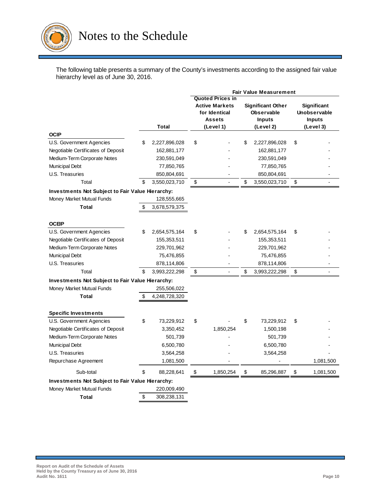

The following table presents a summary of the County's investments according to the assigned fair value hierarchy level as of June 30, 2016.

|                                                         |              |               | <b>Fair Value Measurement</b> |                                                                                                 |    |                                                                             |                                                                  |           |  |
|---------------------------------------------------------|--------------|---------------|-------------------------------|-------------------------------------------------------------------------------------------------|----|-----------------------------------------------------------------------------|------------------------------------------------------------------|-----------|--|
|                                                         | <b>Total</b> |               |                               | <b>Quoted Prices in</b><br><b>Active Markets</b><br>for Identical<br><b>Assets</b><br>(Level 1) |    | <b>Significant Other</b><br><b>Observable</b><br><b>Inputs</b><br>(Level 2) | <b>Significant</b><br>Unobservable<br><b>Inputs</b><br>(Level 3) |           |  |
| <b>OCIP</b>                                             |              |               |                               |                                                                                                 |    |                                                                             |                                                                  |           |  |
| U.S. Government Agencies                                | \$           | 2,227,896,028 | \$                            |                                                                                                 | \$ | 2,227,896,028                                                               | \$                                                               |           |  |
| Negotiable Certificates of Deposit                      |              | 162,881,177   |                               |                                                                                                 |    | 162,881,177                                                                 |                                                                  |           |  |
| Medium-Term Corporate Notes                             |              | 230,591,049   |                               |                                                                                                 |    | 230,591,049                                                                 |                                                                  |           |  |
| <b>Municipal Debt</b>                                   |              | 77,850,765    |                               |                                                                                                 |    | 77,850,765                                                                  |                                                                  |           |  |
| U.S. Treasuries                                         |              | 850,804,691   |                               |                                                                                                 |    | 850,804,691                                                                 |                                                                  |           |  |
| Total                                                   | \$           | 3,550,023,710 | \$                            |                                                                                                 | \$ | 3,550,023,710                                                               | \$                                                               |           |  |
| <b>Investments Not Subject to Fair Value Hierarchy:</b> |              |               |                               |                                                                                                 |    |                                                                             |                                                                  |           |  |
| Money Market Mutual Funds                               |              | 128,555,665   |                               |                                                                                                 |    |                                                                             |                                                                  |           |  |
| <b>Total</b>                                            | \$           | 3,678,579,375 |                               |                                                                                                 |    |                                                                             |                                                                  |           |  |
|                                                         |              |               |                               |                                                                                                 |    |                                                                             |                                                                  |           |  |
| <b>OCEP</b>                                             |              |               |                               |                                                                                                 |    |                                                                             |                                                                  |           |  |
| U.S. Government Agencies                                | \$           | 2,654,575,164 | \$                            |                                                                                                 | \$ | 2,654,575,164                                                               | \$                                                               |           |  |
| Negotiable Certificates of Deposit                      |              | 155,353,511   |                               |                                                                                                 |    | 155,353,511                                                                 |                                                                  |           |  |
| Medium-Term Corporate Notes                             |              | 229,701,962   |                               |                                                                                                 |    | 229,701,962                                                                 |                                                                  |           |  |
| Municipal Debt                                          |              | 75,476,855    |                               |                                                                                                 |    | 75,476,855                                                                  |                                                                  |           |  |
| U.S. Treasuries                                         |              | 878,114,806   |                               |                                                                                                 |    | 878,114,806                                                                 |                                                                  |           |  |
| Total                                                   | \$           | 3,993,222,298 | \$                            |                                                                                                 | \$ | 3,993,222,298                                                               | \$                                                               |           |  |
| <b>Investments Not Subject to Fair Value Hierarchy:</b> |              |               |                               |                                                                                                 |    |                                                                             |                                                                  |           |  |
| Money Market Mutual Funds                               |              | 255,506,022   |                               |                                                                                                 |    |                                                                             |                                                                  |           |  |
| Total                                                   | \$           | 4,248,728,320 |                               |                                                                                                 |    |                                                                             |                                                                  |           |  |
|                                                         |              |               |                               |                                                                                                 |    |                                                                             |                                                                  |           |  |
| <b>Specific Investments</b>                             |              |               |                               |                                                                                                 |    |                                                                             |                                                                  |           |  |
| U.S. Government Agencies                                | \$           | 73,229,912    | \$                            |                                                                                                 | \$ | 73,229,912                                                                  | \$                                                               |           |  |
| Negotiable Certificates of Deposit                      |              | 3,350,452     |                               | 1,850,254                                                                                       |    | 1,500,198                                                                   |                                                                  |           |  |
| Medium-Term Corporate Notes                             |              | 501,739       |                               |                                                                                                 |    | 501,739                                                                     |                                                                  |           |  |
| Municipal Debt                                          |              | 6,500,780     |                               |                                                                                                 |    | 6,500,780                                                                   |                                                                  |           |  |
| U.S. Treasuries                                         |              | 3,564,258     |                               |                                                                                                 |    | 3,564,258                                                                   |                                                                  |           |  |
| Repurchase Agreement                                    |              | 1,081,500     |                               |                                                                                                 |    |                                                                             |                                                                  | 1,081,500 |  |
| Sub-total                                               | \$           | 88,228,641    | \$                            | 1,850,254                                                                                       | \$ | 85,296,887                                                                  | \$                                                               | 1,081,500 |  |
| <b>Investments Not Subject to Fair Value Hierarchy:</b> |              |               |                               |                                                                                                 |    |                                                                             |                                                                  |           |  |
| Money Market Mutual Funds                               |              | 220,009,490   |                               |                                                                                                 |    |                                                                             |                                                                  |           |  |
| Total                                                   | \$           | 308,238,131   |                               |                                                                                                 |    |                                                                             |                                                                  |           |  |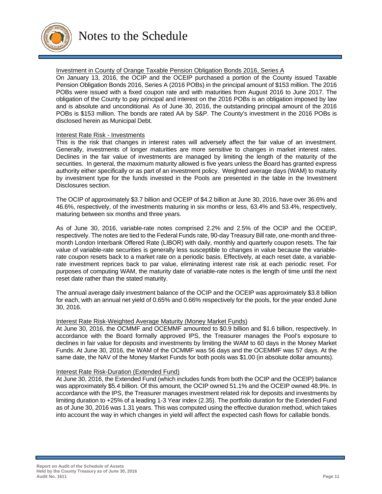

## Investment in County of Orange Taxable Pension Obligation Bonds 2016, Series A

On January 13, 2016, the OCIP and the OCEIP purchased a portion of the County issued Taxable Pension Obligation Bonds 2016, Series A (2016 POBs) in the principal amount of \$153 million. The 2016 POBs were issued with a fixed coupon rate and with maturities from August 2016 to June 2017. The obligation of the County to pay principal and interest on the 2016 POBs is an obligation imposed by law and is absolute and unconditional. As of June 30, 2016, the outstanding principal amount of the 2016 POBs is \$153 million. The bonds are rated AA by S&P. The County's investment in the 2016 POBs is disclosed herein as Municipal Debt.

#### Interest Rate Risk - Investments

This is the risk that changes in interest rates will adversely affect the fair value of an investment. Generally, investments of longer maturities are more sensitive to changes in market interest rates. Declines in the fair value of investments are managed by limiting the length of the maturity of the securities. In general, the maximum maturity allowed is five years unless the Board has granted express authority either specifically or as part of an investment policy. Weighted average days (WAM) to maturity by investment type for the funds invested in the Pools are presented in the table in the Investment Disclosures section.

The OCIP of approximately \$3.7 billion and OCEIP of \$4.2 billion at June 30, 2016, have over 36.6% and 46.6%, respectively, of the investments maturing in six months or less, 63.4% and 53.4%, respectively, maturing between six months and three years.

As of June 30, 2016, variable-rate notes comprised 2.2% and 2.5% of the OCIP and the OCEIP, respectively. The notes are tied to the Federal Funds rate, 90-day Treasury Bill rate, one-month and threemonth London Interbank Offered Rate (LIBOR) with daily, monthly and quarterly coupon resets. The fair value of variable-rate securities is generally less susceptible to changes in value because the variablerate coupon resets back to a market rate on a periodic basis. Effectively, at each reset date, a variablerate investment reprices back to par value, eliminating interest rate risk at each periodic reset. For purposes of computing WAM, the maturity date of variable-rate notes is the length of time until the next reset date rather than the stated maturity.

The annual average daily investment balance of the OCIP and the OCEIP was approximately \$3.8 billion for each, with an annual net yield of 0.65% and 0.66% respectively for the pools, for the year ended June 30, 2016.

#### Interest Rate Risk-Weighted Average Maturity (Money Market Funds)

At June 30, 2016, the OCMMF and OCEMMF amounted to \$0.9 billion and \$1.6 billion, respectively. In accordance with the Board formally approved IPS, the Treasurer manages the Pool's exposure to declines in fair value for deposits and investments by limiting the WAM to 60 days in the Money Market Funds. At June 30, 2016, the WAM of the OCMMF was 56 days and the OCEMMF was 57 days. At the same date, the NAV of the Money Market Funds for both pools was \$1.00 (in absolute dollar amounts).

#### Interest Rate Risk-Duration (Extended Fund)

At June 30, 2016, the Extended Fund (which includes funds from both the OCIP and the OCEIP) balance was approximately \$5.4 billion. Of this amount, the OCIP owned 51.1% and the OCEIP owned 48.9%. In accordance with the IPS, the Treasurer manages investment related risk for deposits and investments by limiting duration to +25% of a leading 1-3 Year index (2.35). The portfolio duration for the Extended Fund as of June 30, 2016 was 1.31 years. This was computed using the effective duration method, which takes into account the way in which changes in yield will affect the expected cash flows for callable bonds.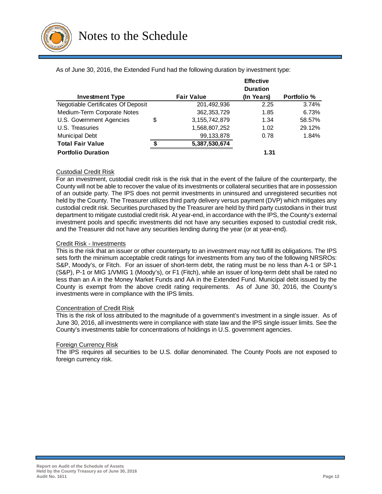

|                                    |    |                   | <b>Effective</b> |                    |
|------------------------------------|----|-------------------|------------------|--------------------|
|                                    |    |                   | <b>Duration</b>  |                    |
| <b>Investment Type</b>             |    | <b>Fair Value</b> | (In Years)       | <b>Portfolio %</b> |
| Negotiable Certificates Of Deposit |    | 201,492,936       | 2.25             | 3.74%              |
| Medium-Term Corporate Notes        |    | 362, 353, 729     | 1.85             | 6.73%              |
| U.S. Government Agencies           | \$ | 3, 155, 742, 879  | 1.34             | 58.57%             |
| U.S. Treasuries                    |    | 1,568,807,252     | 1.02             | 29.12%             |
| <b>Municipal Debt</b>              |    | 99, 133, 878      | 0.78             | 1.84%              |
| <b>Total Fair Value</b>            | S  | 5,387,530,674     |                  |                    |
| <b>Portfolio Duration</b>          |    |                   | 1.31             |                    |

As of June 30, 2016, the Extended Fund had the following duration by investment type:

#### Custodial Credit Risk

For an investment, custodial credit risk is the risk that in the event of the failure of the counterparty, the County will not be able to recover the value of its investments or collateral securities that are in possession of an outside party. The IPS does not permit investments in uninsured and unregistered securities not held by the County. The Treasurer utilizes third party delivery versus payment (DVP) which mitigates any custodial credit risk. Securities purchased by the Treasurer are held by third party custodians in their trust department to mitigate custodial credit risk. At year-end, in accordance with the IPS, the County's external investment pools and specific investments did not have any securities exposed to custodial credit risk, and the Treasurer did not have any securities lending during the year (or at year-end).

#### Credit Risk - Investments

This is the risk that an issuer or other counterparty to an investment may not fulfill its obligations. The IPS sets forth the minimum acceptable credit ratings for investments from any two of the following NRSROs: S&P, Moody's, or Fitch. For an issuer of short-term debt, the rating must be no less than A-1 or SP-1 (S&P), P-1 or MIG 1/VMIG 1 (Moody's), or F1 (Fitch), while an issuer of long-term debt shall be rated no less than an A in the Money Market Funds and AA in the Extended Fund. Municipal debt issued by the County is exempt from the above credit rating requirements. As of June 30, 2016, the County's investments were in compliance with the IPS limits.

#### Concentration of Credit Risk

This is the risk of loss attributed to the magnitude of a government's investment in a single issuer. As of June 30, 2016, all investments were in compliance with state law and the IPS single issuer limits. See the County's investments table for concentrations of holdings in U.S. government agencies.

#### Foreign Currency Risk

The IPS requires all securities to be U.S. dollar denominated. The County Pools are not exposed to foreign currency risk.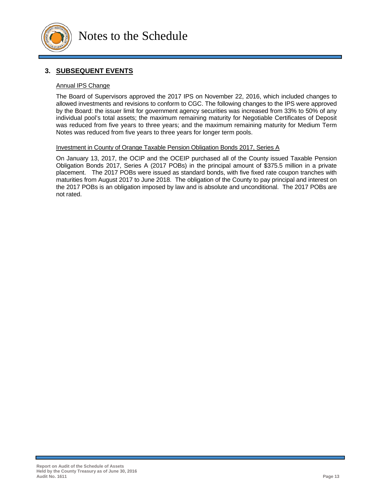

## **3. SUBSEQUENT EVENTS**

#### Annual IPS Change

The Board of Supervisors approved the 2017 IPS on November 22, 2016, which included changes to allowed investments and revisions to conform to CGC. The following changes to the IPS were approved by the Board: the issuer limit for government agency securities was increased from 33% to 50% of any individual pool's total assets; the maximum remaining maturity for Negotiable Certificates of Deposit was reduced from five years to three years; and the maximum remaining maturity for Medium Term Notes was reduced from five years to three years for longer term pools.

#### Investment in County of Orange Taxable Pension Obligation Bonds 2017, Series A

On January 13, 2017, the OCIP and the OCEIP purchased all of the County issued Taxable Pension Obligation Bonds 2017, Series A (2017 POBs) in the principal amount of \$375.5 million in a private placement. The 2017 POBs were issued as standard bonds, with five fixed rate coupon tranches with maturities from August 2017 to June 2018. The obligation of the County to pay principal and interest on the 2017 POBs is an obligation imposed by law and is absolute and unconditional. The 2017 POBs are not rated.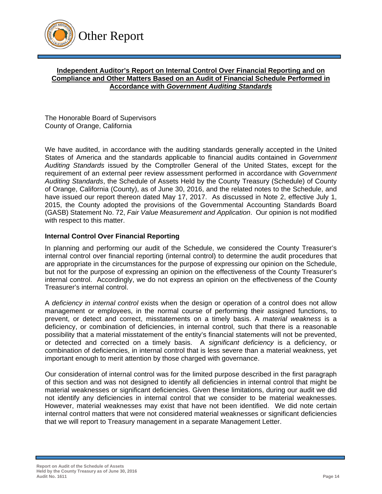

## **Independent Auditor's Report on Internal Control Over Financial Reporting and on Compliance and Other Matters Based on an Audit of Financial Schedule Performed in Accordance with** *Government Auditing Standards*

The Honorable Board of Supervisors County of Orange, California

We have audited, in accordance with the auditing standards generally accepted in the United States of America and the standards applicable to financial audits contained in *Government Auditing Standards* issued by the Comptroller General of the United States, except for the requirement of an external peer review assessment performed in accordance with *Government Auditing Standards*, the Schedule of Assets Held by the County Treasury (Schedule) of County of Orange, California (County), as of June 30, 2016, and the related notes to the Schedule, and have issued our report thereon dated May 17, 2017. As discussed in Note 2, effective July 1, 2015, the County adopted the provisions of the Governmental Accounting Standards Board (GASB) Statement No. 72, *Fair Value Measurement and Application*. Our opinion is not modified with respect to this matter.

## **Internal Control Over Financial Reporting**

In planning and performing our audit of the Schedule, we considered the County Treasurer's internal control over financial reporting (internal control) to determine the audit procedures that are appropriate in the circumstances for the purpose of expressing our opinion on the Schedule, but not for the purpose of expressing an opinion on the effectiveness of the County Treasurer's internal control. Accordingly, we do not express an opinion on the effectiveness of the County Treasurer's internal control.

A *deficiency in internal control* exists when the design or operation of a control does not allow management or employees, in the normal course of performing their assigned functions, to prevent, or detect and correct, misstatements on a timely basis. A *material weakness* is a deficiency, or combination of deficiencies, in internal control, such that there is a reasonable possibility that a material misstatement of the entity's financial statements will not be prevented, or detected and corrected on a timely basis. A *significant deficiency* is a deficiency, or combination of deficiencies, in internal control that is less severe than a material weakness, yet important enough to merit attention by those charged with governance.

Our consideration of internal control was for the limited purpose described in the first paragraph of this section and was not designed to identify all deficiencies in internal control that might be material weaknesses or significant deficiencies. Given these limitations, during our audit we did not identify any deficiencies in internal control that we consider to be material weaknesses. However, material weaknesses may exist that have not been identified. We did note certain internal control matters that were not considered material weaknesses or significant deficiencies that we will report to Treasury management in a separate Management Letter.